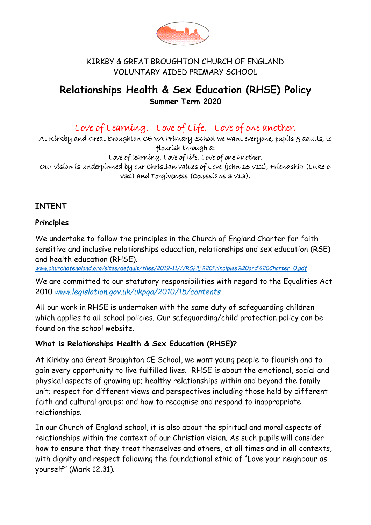

#### KIRKBY & GREAT BROUGHTON CHURCH OF ENGLAND VOLUNTARY AIDED PRIMARY SCHOOL

# **Relationships Health & Sex Education (RHSE) Policy Summer Term 2020**

Love of Learning. Love of Life. Love of one another.

At Kirkby and Great Broughton CE VA Primary School we want everyone, pupils § adults, to flourish through a:

Love of learning. Love of life. Love of one another. Our vision is underpinned by our Christian values of Love (John 15 v12), Friendship (Luke 6 v31) and Forgiveness (Colossians 3 v13).

#### **INTENT**

#### **Principles**

We undertake to follow the principles in the Church of England Charter for faith sensitive and inclusive relationships education, relationships and sex education (RSE) and health education (RHSE).

*[www.churchofengland.org/sites/default/files/2019-11///RSHE%20Principles%20and%20Charter\\_0.pdf](http://www.churchofengland.org/sites/default/files/2019-11/RSHE%20Principles%20and%20Charter_0.pdf)*

We are committed to our statutory responsibilities with regard to the Equalities Act 2010 *[www.legislation.gov.uk/ukpga/2010/15/contents](http://www.legislation.gov.uk/ukpga/2010/15/contents)*

All our work in RHSE is undertaken with the same duty of safeguarding children which applies to all school policies. Our safeguarding/child protection policy can be found on the school website.

## **What is Relationships Health & Sex Education (RHSE)?**

At Kirkby and Great Broughton CE School, we want young people to flourish and to gain every opportunity to live fulfilled lives. RHSE is about the emotional, social and physical aspects of growing up; healthy relationships within and beyond the family unit; respect for different views and perspectives including those held by different faith and cultural groups; and how to recognise and respond to inappropriate relationships.

In our Church of England school, it is also about the spiritual and moral aspects of relationships within the context of our Christian vision. As such pupils will consider how to ensure that they treat themselves and others, at all times and in all contexts, with dignity and respect following the foundational ethic of "Love your neighbour as yourself" (Mark 12.31).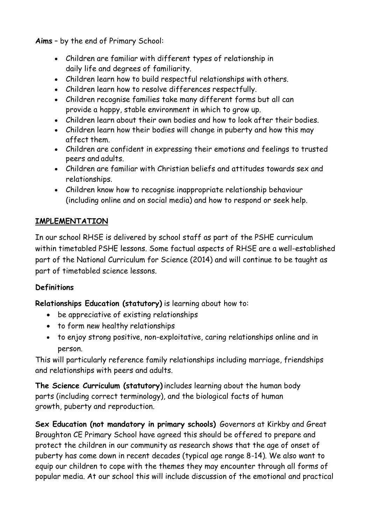**Aims** – by the end of Primary School:

- Children are familiar with different types of relationship in daily life and degrees of familiarity.
- Children learn how to build respectful relationships with others.
- Children learn how to resolve differences respectfully.
- Children recognise families take many different forms but all can provide a happy, stable environment in which to grow up.
- Children learn about their own bodies and how to look after their bodies.
- Children learn how their bodies will change in puberty and how this may affect them.
- Children are confident in expressing their emotions and feelings to trusted peers and adults.
- Children are familiar with Christian beliefs and attitudes towards sex and relationships.
- Children know how to recognise inappropriate relationship behaviour (including online and on social media) and how to respond or seek help.

# **IMPLEMENTATION**

In our school RHSE is delivered by school staff as part of the PSHE curriculum within timetabled PSHE lessons. Some factual aspects of RHSE are a well-established part of the National Curriculum for Science (2014) and will continue to be taught as part of timetabled science lessons.

# **Definitions**

**Relationships Education (statutory)** is learning about how to:

- be appreciative of existing relationships
- to form new healthy relationships
- to enjoy strong positive, non-exploitative, caring relationships online and in person.

This will particularly reference family relationships including marriage, friendships and relationships with peers and adults.

**The Science Curriculum (statutory)** includes learning about the human body parts (including correct terminology), and the biological facts of human growth, puberty and reproduction.

**Sex Education (not mandatory in primary schools)** Governors at Kirkby and Great Broughton CE Primary School have agreed this should be offered to prepare and protect the children in our community as research shows that the age of onset of puberty has come down in recent decades (typical age range 8-14). We also want to equip our children to cope with the themes they may encounter through all forms of popular media. At our school this will include discussion of the emotional and practical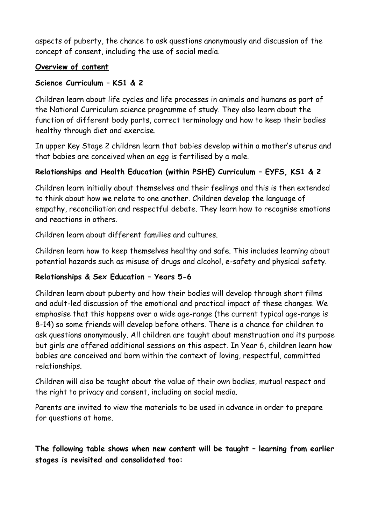aspects of puberty, the chance to ask questions anonymously and discussion of the concept of consent, including the use of social media.

#### **Overview of content**

## **Science Curriculum – KS1 & 2**

Children learn about life cycles and life processes in animals and humans as part of the National Curriculum science programme of study. They also learn about the function of different body parts, correct terminology and how to keep their bodies healthy through diet and exercise.

In upper Key Stage 2 children learn that babies develop within a mother's uterus and that babies are conceived when an egg is fertilised by a male.

# **Relationships and Health Education (within PSHE) Curriculum – EYFS, KS1 & 2**

Children learn initially about themselves and their feelings and this is then extended to think about how we relate to one another. Children develop the language of empathy, reconciliation and respectful debate. They learn how to recognise emotions and reactions in others.

Children learn about different families and cultures.

Children learn how to keep themselves healthy and safe. This includes learning about potential hazards such as misuse of drugs and alcohol, e-safety and physical safety.

## **Relationships & Sex Education – Years 5-6**

Children learn about puberty and how their bodies will develop through short films and adult-led discussion of the emotional and practical impact of these changes. We emphasise that this happens over a wide age-range (the current typical age-range is 8-14) so some friends will develop before others. There is a chance for children to ask questions anonymously. All children are taught about menstruation and its purpose but girls are offered additional sessions on this aspect. In Year 6, children learn how babies are conceived and born within the context of loving, respectful, committed relationships.

Children will also be taught about the value of their own bodies, mutual respect and the right to privacy and consent, including on social media.

Parents are invited to view the materials to be used in advance in order to prepare for questions at home.

**The following table shows when new content will be taught – learning from earlier stages is revisited and consolidated too:**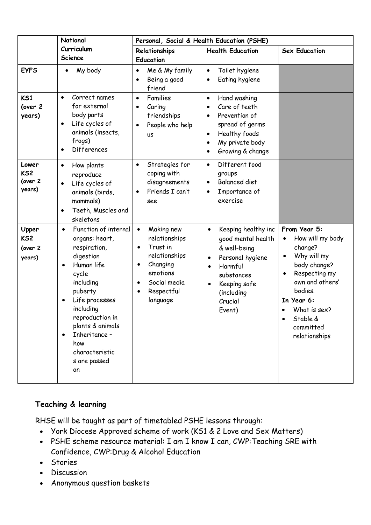|                                               | National                                                                                                                                                                                                                                                                                        |                                                                                                                                                                        | Personal, Social & Health Education (PSHE)                                                                                                                                                              |                                                                                                                                                                                                                             |  |
|-----------------------------------------------|-------------------------------------------------------------------------------------------------------------------------------------------------------------------------------------------------------------------------------------------------------------------------------------------------|------------------------------------------------------------------------------------------------------------------------------------------------------------------------|---------------------------------------------------------------------------------------------------------------------------------------------------------------------------------------------------------|-----------------------------------------------------------------------------------------------------------------------------------------------------------------------------------------------------------------------------|--|
|                                               | Curriculum<br><b>Science</b>                                                                                                                                                                                                                                                                    | Relationships<br><b>Education</b>                                                                                                                                      | <b>Health Education</b>                                                                                                                                                                                 | <b>Sex Education</b>                                                                                                                                                                                                        |  |
| <b>EYFS</b>                                   | My body                                                                                                                                                                                                                                                                                         | Me & My family<br>$\bullet$<br>Being a good<br>friend                                                                                                                  | Toilet hygiene<br>$\bullet$<br>Eating hygiene<br>$\bullet$                                                                                                                                              |                                                                                                                                                                                                                             |  |
| K <sub>51</sub><br>(over 2<br>years)          | Correct names<br>$\bullet$<br>for external<br>body parts<br>Life cycles of<br>$\bullet$<br>animals (insects,<br>frogs)<br>Differences<br>$\bullet$                                                                                                                                              | Families<br>$\bullet$<br>Caring<br>friendships<br>People who help<br><b>US</b>                                                                                         | Hand washing<br>$\bullet$<br>Care of teeth<br>$\bullet$<br>Prevention of<br>$\bullet$<br>spread of germs<br>Healthy foods<br>$\bullet$<br>My private body<br>$\bullet$<br>Growing & change<br>$\bullet$ |                                                                                                                                                                                                                             |  |
| Lower<br>KS <sub>2</sub><br>(over 2<br>years) | How plants<br>$\bullet$<br>reproduce<br>Life cycles of<br>$\bullet$<br>animals (birds,<br>mammals)<br>Teeth, Muscles and<br>skeletons                                                                                                                                                           | Strategies for<br>$\bullet$<br>coping with<br>disagreements<br>Friends I can't<br>see                                                                                  | Different food<br>$\bullet$<br>groups<br><b>Balanced diet</b><br>$\bullet$<br>Importance of<br>$\bullet$<br>exercise                                                                                    |                                                                                                                                                                                                                             |  |
| Upper<br>KS <sub>2</sub><br>(over 2<br>years) | Function of internal<br>$\bullet$<br>organs: heart,<br>respiration,<br>digestion<br>Human life<br>$\bullet$<br>cycle<br>including<br>puberty<br>Life processes<br>including<br>reproduction in<br>plants & animals<br>Inheritance -<br>$\bullet$<br>how<br>characteristic<br>s are passed<br>on | Making new<br>$\bullet$<br>relationships<br>Trust in<br>relationships<br>Changing<br>٠<br>emotions<br>Social media<br>$\bullet$<br>Respectful<br>$\bullet$<br>language | Keeping healthy inc<br>$\bullet$<br>good mental health<br>& well-being<br>Personal hygiene<br>$\bullet$<br>Harmful<br>substances<br>Keeping safe<br>(including<br>Crucial<br>Event)                     | From Year 5:<br>How will my body<br>change?<br>Why will my<br>$\bullet$<br>body change?<br>Respecting my<br>$\bullet$<br>own and others'<br>bodies.<br>In Year 6:<br>What is sex?<br>Stable &<br>committed<br>relationships |  |

## **Teaching & learning**

RHSE will be taught as part of timetabled PSHE lessons through:

- York Diocese Approved scheme of work (KS1 & 2 Love and Sex Matters)
- PSHE scheme resource material: I am I know I can, CWP:Teaching SRE with Confidence, CWP:Drug & Alcohol Education
- Stories
- Discussion
- Anonymous question baskets